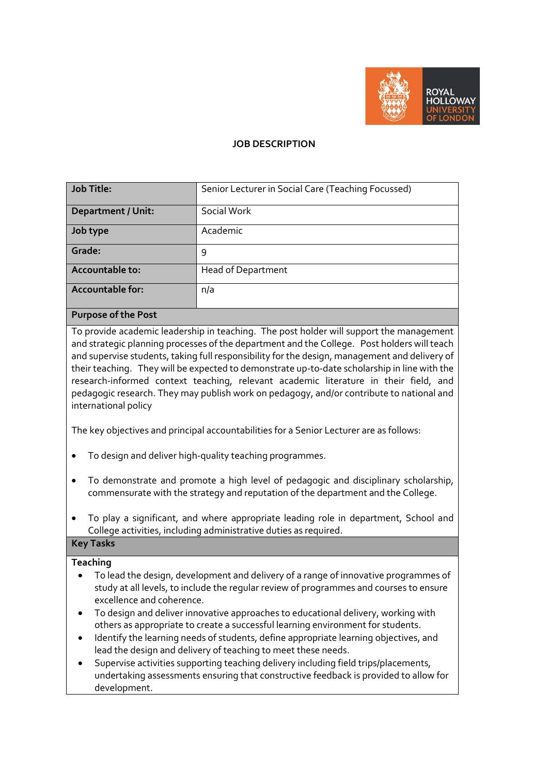

## **JOB DESCRIPTION**

| Job Title:                                                            | Senior Lecturer in Social Care (Teaching Focussed) |
|-----------------------------------------------------------------------|----------------------------------------------------|
| <b>Department / Unit:</b>                                             | Social Work                                        |
| Job type                                                              | Academic                                           |
| Grade:                                                                | 9                                                  |
| Accountable to:                                                       | <b>Head of Department</b>                          |
| Accountable for:                                                      | n/a                                                |
| $D_{\text{c}}$ and $\alpha$ and $\alpha$ $\beta$ and $\alpha$ $\beta$ |                                                    |

### **Purpose of the Post**

To provide academic leadership in teaching. The post holder will support the management and strategic planning processes of the department and the College. Post holders will teach and supervise students, taking full responsibility for the design, management and delivery of their teaching. They will be expected to demonstrate up-to-date scholarship in line with the research-informed context teaching, relevant academic literature in their field, and pedagogic research. They may publish work on pedagogy, and/or contribute to national and international policy

The key objectives and principal accountabilities for a Senior Lecturer are as follows:

- To design and deliver high-quality teaching programmes.
- To demonstrate and promote a high level of pedagogic and disciplinary scholarship, commensurate with the strategy and reputation of the department and the College.
- To play a significant, and where appropriate leading role in department, School and College activities, including administrative duties as required.

# **Key Tasks**

# **Teaching**

- To lead the design, development and delivery of a range of innovative programmes of study at all levels, to include the regular review of programmes and courses to ensure excellence and coherence.
- To design and deliver innovative approaches to educational delivery, working with others as appropriate to create a successful learning environment for students.
- Identify the learning needs of students, define appropriate learning objectives, and lead the design and delivery of teaching to meet these needs.
- Supervise activities supporting teaching delivery including field trips/placements, undertaking assessments ensuring that constructive feedback is provided to allow for development.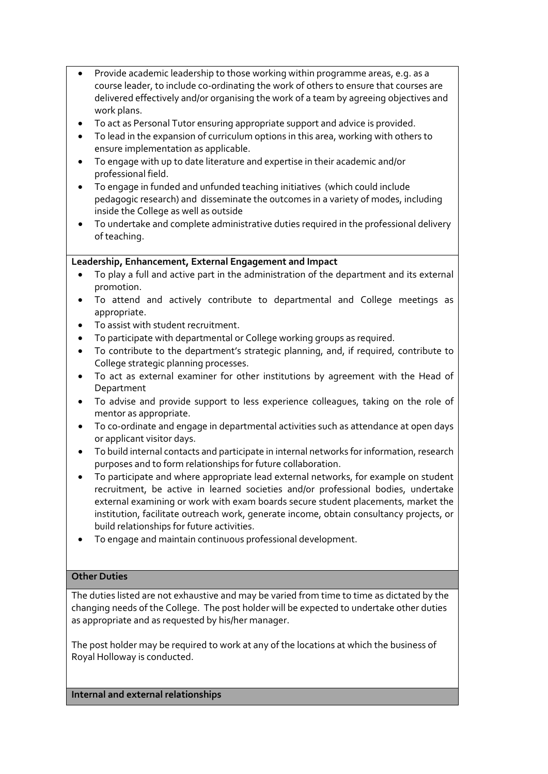- Provide academic leadership to those working within programme areas, e.g. as a course leader, to include co-ordinating the work of others to ensure that courses are delivered effectively and/or organising the work of a team by agreeing objectives and work plans.
- To act as Personal Tutor ensuring appropriate support and advice is provided.
- To lead in the expansion of curriculum options in this area, working with others to ensure implementation as applicable.
- To engage with up to date literature and expertise in their academic and/or professional field.
- To engage in funded and unfunded teaching initiatives (which could include pedagogic research) and disseminate the outcomes in a variety of modes, including inside the College as well as outside
- To undertake and complete administrative duties required in the professional delivery of teaching.

## **Leadership, Enhancement, External Engagement and Impact**

- To play a full and active part in the administration of the department and its external promotion.
- To attend and actively contribute to departmental and College meetings as appropriate.
- To assist with student recruitment.
- To participate with departmental or College working groups as required.
- To contribute to the department's strategic planning, and, if required, contribute to College strategic planning processes.
- To act as external examiner for other institutions by agreement with the Head of Department
- To advise and provide support to less experience colleagues, taking on the role of mentor as appropriate.
- To co-ordinate and engage in departmental activities such as attendance at open days or applicant visitor days.
- To build internal contacts and participate in internal networks for information, research purposes and to form relationships for future collaboration.
- To participate and where appropriate lead external networks, for example on student recruitment, be active in learned societies and/or professional bodies, undertake external examining or work with exam boards secure student placements, market the institution, facilitate outreach work, generate income, obtain consultancy projects, or build relationships for future activities.
- To engage and maintain continuous professional development.

### **Other Duties**

The duties listed are not exhaustive and may be varied from time to time as dictated by the changing needs of the College. The post holder will be expected to undertake other duties as appropriate and as requested by his/her manager.

The post holder may be required to work at any of the locations at which the business of Royal Holloway is conducted.

**Internal and external relationships**